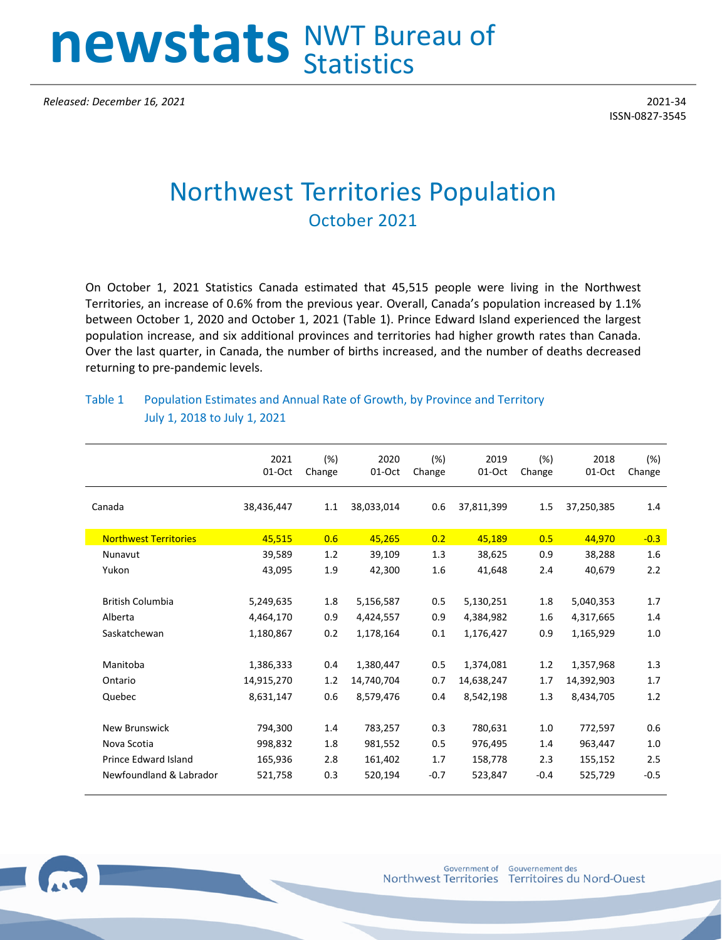## **newstats** NWT Bureau of **Statistics**

*Released: December 16, 2021* 2021-34

ISSN-0827-3545

## Northwest Territories Population October 2021

On October 1, 2021 Statistics Canada estimated that 45,515 people were living in the Northwest Territories, an increase of 0.6% from the previous year. Overall, Canada's population increased by 1.1% between October 1, 2020 and October 1, 2021 (Table 1). Prince Edward Island experienced the largest population increase, and six additional provinces and territories had higher growth rates than Canada. Over the last quarter, in Canada, the number of births increased, and the number of deaths decreased returning to pre-pandemic levels.

## Table 1 Population Estimates and Annual Rate of Growth, by Province and Territory July 1, 2018 to July 1, 2021

|                              | 2021<br>01-Oct | (%)<br>Change | 2020<br>01-Oct | (%)<br>Change | 2019<br>01-Oct | (%)<br>Change | 2018<br>01-Oct | (%)<br>Change |
|------------------------------|----------------|---------------|----------------|---------------|----------------|---------------|----------------|---------------|
| Canada                       | 38,436,447     | 1.1           | 38,033,014     | 0.6           | 37,811,399     | 1.5           | 37,250,385     | 1.4           |
| <b>Northwest Territories</b> | 45,515         | 0.6           | 45,265         | 0.2           | 45,189         | 0.5           | 44,970         | $-0.3$        |
| Nunavut                      | 39,589         | 1.2           | 39,109         | 1.3           | 38,625         | 0.9           | 38,288         | 1.6           |
| Yukon                        | 43,095         | 1.9           | 42,300         | 1.6           | 41,648         | 2.4           | 40,679         | 2.2           |
|                              |                |               |                |               |                |               |                |               |
| <b>British Columbia</b>      | 5,249,635      | 1.8           | 5,156,587      | 0.5           | 5,130,251      | 1.8           | 5,040,353      | 1.7           |
| Alberta                      | 4,464,170      | 0.9           | 4,424,557      | 0.9           | 4,384,982      | 1.6           | 4,317,665      | 1.4           |
| Saskatchewan                 | 1,180,867      | 0.2           | 1,178,164      | 0.1           | 1,176,427      | 0.9           | 1,165,929      | 1.0           |
|                              |                |               |                |               |                |               |                |               |
| Manitoba                     | 1,386,333      | 0.4           | 1,380,447      | 0.5           | 1,374,081      | 1.2           | 1,357,968      | 1.3           |
| Ontario                      | 14,915,270     | 1.2           | 14,740,704     | 0.7           | 14,638,247     | 1.7           | 14,392,903     | 1.7           |
| Quebec                       | 8,631,147      | 0.6           | 8,579,476      | 0.4           | 8,542,198      | 1.3           | 8,434,705      | 1.2           |
|                              |                |               |                |               |                |               |                |               |
| <b>New Brunswick</b>         | 794,300        | 1.4           | 783,257        | 0.3           | 780,631        | 1.0           | 772,597        | 0.6           |
| Nova Scotia                  | 998,832        | 1.8           | 981,552        | 0.5           | 976,495        | 1.4           | 963,447        | 1.0           |
| <b>Prince Edward Island</b>  | 165,936        | 2.8           | 161,402        | 1.7           | 158,778        | 2.3           | 155,152        | 2.5           |
| Newfoundland & Labrador      | 521,758        | 0.3           | 520,194        | $-0.7$        | 523,847        | $-0.4$        | 525,729        | $-0.5$        |
|                              |                |               |                |               |                |               |                |               |

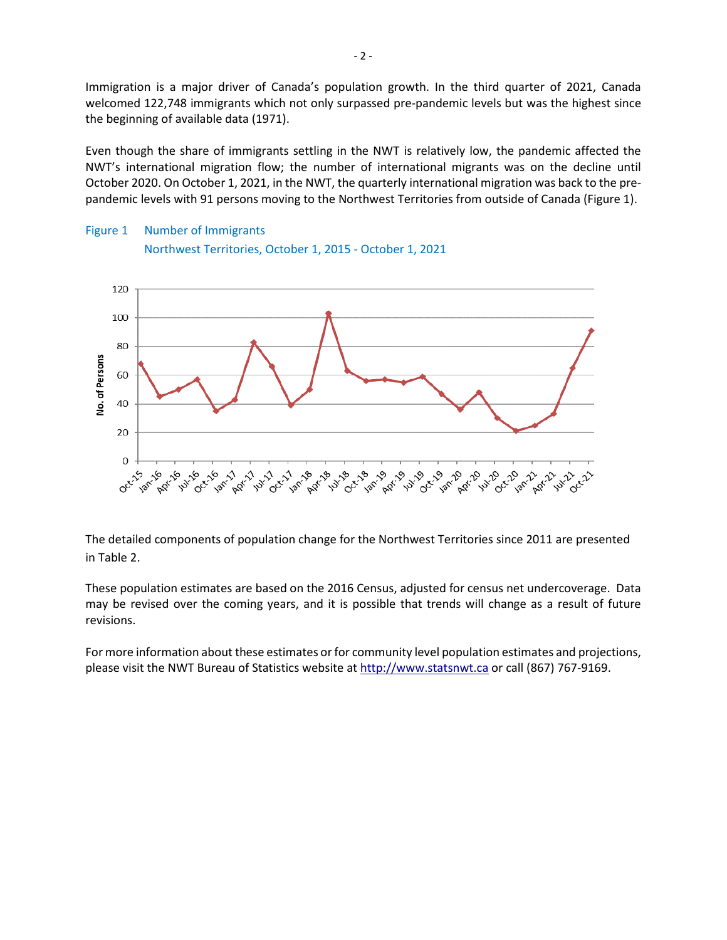Immigration is a major driver of Canada's population growth. In the third quarter of 2021, Canada welcomed 122,748 immigrants which not only surpassed pre-pandemic levels but was the highest since the beginning of available data (1971).

Even though the share of immigrants settling in the NWT is relatively low, the pandemic affected the NWT's international migration flow; the number of international migrants was on the decline until October 2020. On October 1, 2021, in the NWT, the quarterly international migration was back to the prepandemic levels with 91 persons moving to the Northwest Territories from outside of Canada (Figure 1).





The detailed components of population change for the Northwest Territories since 2011 are presented in Table 2.

These population estimates are based on the 2016 Census, adjusted for census net undercoverage. Data may be revised over the coming years, and it is possible that trends will change as a result of future revisions.

For more information about these estimates or for community level population estimates and projections, please visit the NWT Bureau of Statistics website at http://www.statsnwt.ca or call (867) 767-9169.